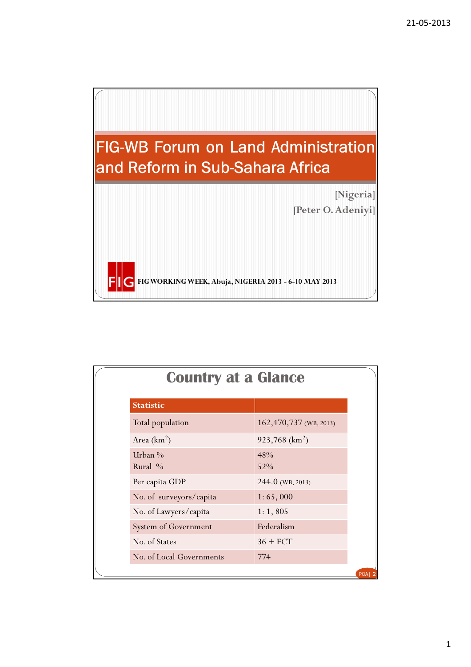

| <b>Country at a Glance</b> |                              |  |  |
|----------------------------|------------------------------|--|--|
| <b>Statistic</b>           |                              |  |  |
| Total population           | 162,470,737 (WB, 2013)       |  |  |
| Area $(km2)$               | $923,768$ (km <sup>2</sup> ) |  |  |
| Urban $\%$<br>Rural $\%$   | 48%<br>52%                   |  |  |
| Per capita GDP             | 244.0 (WB, 2013)             |  |  |
| No. of surveyors/capita    | 1:65,000                     |  |  |
| No. of Lawyers/capita      | 1:1,805                      |  |  |
| System of Government       | Federalism                   |  |  |
| No. of States              | $36 + FCT$                   |  |  |
| No. of Local Governments   | 774                          |  |  |
|                            |                              |  |  |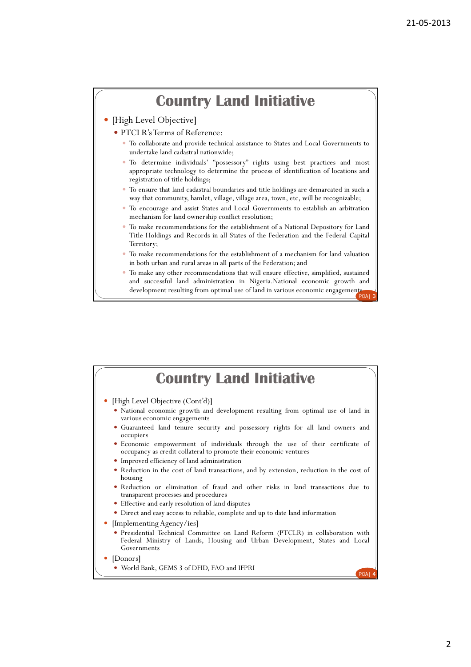## Country Land Initiative

- [High Level Objective]
	- PTCLR'sTerms of Reference:
		- To collaborate and provide technical assistance to States and Local Governments to undertake land cadastral nationwide;
		- To determine individuals' "possessory" rights using best practices and most appropriate technology to determine the process of identification of locations and registration of title holdings;
		- To ensure that land cadastral boundaries and title holdings are demarcated in such a way that community, hamlet, village, village area, town, etc, will be recognizable;
		- To encourage and assist States and Local Governments to establish an arbitration mechanism for land ownership conflict resolution;
		- To make recommendations for the establishment of a National Depository for Land Title Holdings and Records in all States of the Federation and the Federal Capital Territory;
		- To make recommendations for the establishment of a mechanism for land valuation in both urban and rural areas in all parts of the Federation; and
		- development resulting from optimal use of land in various economic engagements POA| 3 To make any other recommendations that will ensure effective, simplified, sustained and successful land administration in Nigeria.National economic growth and

| <b>Country Land Initiative</b>                                                                                                                                               |
|------------------------------------------------------------------------------------------------------------------------------------------------------------------------------|
| • [High Level Objective (Cont'd)]                                                                                                                                            |
| • National economic growth and development resulting from optimal use of land in<br>various economic engagements                                                             |
| • Guaranteed land tenure security and possessory rights for all land owners and<br>occupiers                                                                                 |
| · Economic empowerment of individuals through the use of their certificate of<br>occupancy as credit collateral to promote their economic ventures                           |
| Improved efficiency of land administration                                                                                                                                   |
| . Reduction in the cost of land transactions, and by extension, reduction in the cost of<br>housing                                                                          |
| . Reduction or elimination of fraud and other risks in land transactions due to<br>transparent processes and procedures                                                      |
| • Effective and early resolution of land disputes                                                                                                                            |
| • Direct and easy access to reliable, complete and up to date land information                                                                                               |
| • [Implementing Agency/ies]                                                                                                                                                  |
| • Presidential Technical Committee on Land Reform (PTCLR) in collaboration with<br>Federal Ministry of Lands, Housing and Urban Development, States and Local<br>Governments |
| • [Donors]                                                                                                                                                                   |
| • World Bank, GEMS 3 of DFID, FAO and IFPRI<br><b>POA1</b>                                                                                                                   |
|                                                                                                                                                                              |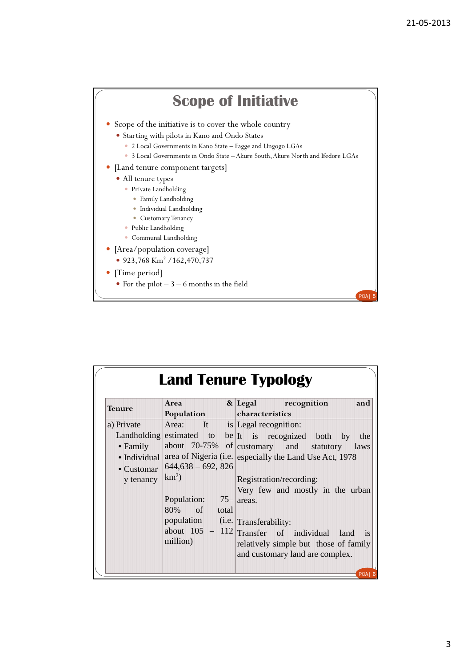

| <b>Land Tenure Typology</b> |                                   |                                                                            |  |  |
|-----------------------------|-----------------------------------|----------------------------------------------------------------------------|--|--|
| <b>Tenure</b>               | Area                              | & Legal recognition<br>and                                                 |  |  |
|                             | Population                        | characteristics                                                            |  |  |
| a) Private                  | Area: It is Legal recognition:    |                                                                            |  |  |
|                             |                                   | Landholding estimated to be It is recognized both by<br>the                |  |  |
| $\bullet$ Family            |                                   | about $70-75\%$ of customary and statutory<br>laws                         |  |  |
| • Individual                |                                   | area of Nigeria (i.e. especially the Land Use Act, 1978                    |  |  |
| • Customar                  | $644,638 - 692,826$               |                                                                            |  |  |
| y tenancy                   | $km^2$ )                          | Registration/recording:                                                    |  |  |
|                             |                                   | Very few and mostly in the urban                                           |  |  |
|                             | Population:                       | $75$ areas.                                                                |  |  |
|                             | 80% of total                      |                                                                            |  |  |
|                             | population (i.e. Transferability: |                                                                            |  |  |
|                             |                                   | about $105 - 112$ Transfer of individual land<br>$\overline{\textbf{1}}$ s |  |  |
|                             | million)                          | relatively simple but those of family                                      |  |  |
|                             |                                   | and customary land are complex.                                            |  |  |
|                             |                                   |                                                                            |  |  |
|                             |                                   | POA 6                                                                      |  |  |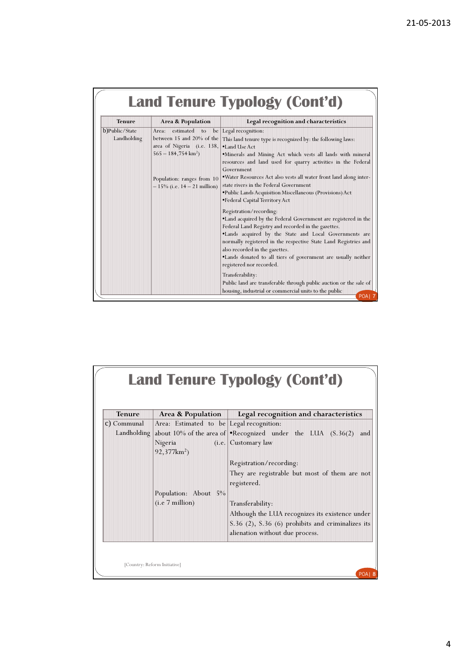| <b>Tenure</b><br>Legal recognition and characteristics<br>Area & Population<br>b)Public/State<br>Area:<br>estimated to<br>be   Legal recognition:<br>between 15 and 20% of the<br>Landholding<br>This land tenure type is recognized by: the following laws:<br>area of Nigeria (i.e. 138,<br><sup>•</sup> Land Use Act<br>$565 - 184,754 \text{ km}^2$<br>Government<br>Population: ranges from 10<br>state rivers in the Federal Government<br>$-15\%$ (i.e. $14 - 21$ million)<br><b>*Public Lands Acquisition Miscellaneous (Provisions) Act</b><br>•Federal Capital Territory Act<br>Registration/recording:<br>Federal Land Registry and recorded in the gazettes.<br>also recorded in the gazettes.<br>registered nor recorded. |  | <b>Land Tenure Typology (Cont'd)</b>                                                                                                                                                                                                                                                                                                                                                                                                                                                                                                                        |
|----------------------------------------------------------------------------------------------------------------------------------------------------------------------------------------------------------------------------------------------------------------------------------------------------------------------------------------------------------------------------------------------------------------------------------------------------------------------------------------------------------------------------------------------------------------------------------------------------------------------------------------------------------------------------------------------------------------------------------------|--|-------------------------------------------------------------------------------------------------------------------------------------------------------------------------------------------------------------------------------------------------------------------------------------------------------------------------------------------------------------------------------------------------------------------------------------------------------------------------------------------------------------------------------------------------------------|
|                                                                                                                                                                                                                                                                                                                                                                                                                                                                                                                                                                                                                                                                                                                                        |  |                                                                                                                                                                                                                                                                                                                                                                                                                                                                                                                                                             |
|                                                                                                                                                                                                                                                                                                                                                                                                                                                                                                                                                                                                                                                                                                                                        |  | *Minerals and Mining Act which vests all lands with mineral<br>resources and land used for quarry activities in the Federal<br>.Water Resources Act also vests all water front land along inter-<br>.Land acquired by the Federal Government are registered in the<br>.Lands acquired by the State and Local Governments are<br>normally registered in the respective State Land Registries and<br>. Lands donated to all tiers of government are usually neither<br>Transferability:<br>Public land are transferable through public auction or the sale of |

|               |                                          | Land Tenure Typology (Cont'd)                                        |
|---------------|------------------------------------------|----------------------------------------------------------------------|
| <b>Tenure</b> | Area & Population                        | Legal recognition and characteristics                                |
| c) Communal   | Area: Estimated to be Legal recognition: |                                                                      |
| Landholding   |                                          | about 10% of the area of Recognized under the LUA $(S.36(2))$<br>and |
|               | Nigeria                                  | (i.e. Customary law                                                  |
|               | $92,377km^2$                             |                                                                      |
|               |                                          | Registration/recording:                                              |
|               |                                          | They are registrable but most of them are not                        |
|               |                                          | registered.                                                          |
|               | Population: About 5%                     |                                                                      |
|               | (i.e 7 million)                          | Transferability:                                                     |
|               |                                          | Although the LUA recognizes its existence under                      |
|               |                                          | S.36 (2), S.36 (6) prohibits and criminalizes its                    |
|               |                                          | alienation without due process.                                      |
|               |                                          |                                                                      |
|               |                                          |                                                                      |
|               | [Country: Reform Initiative]             | POAI <sub>8</sub>                                                    |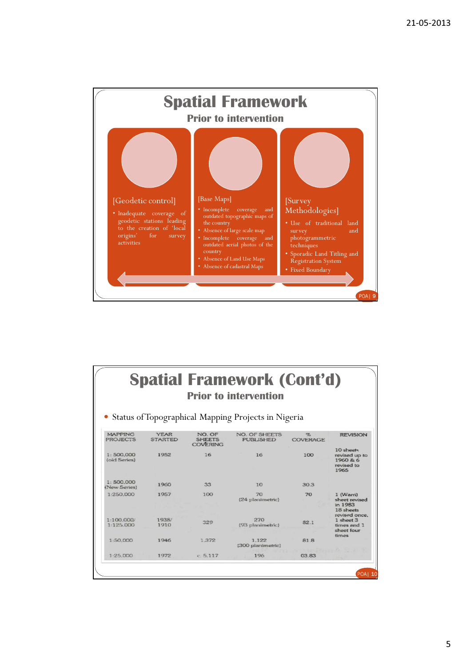

| <b>Spatial Framework (Cont'd)</b><br><b>Prior to intervention</b> |                               |                                            |                                                     |               |                                                              |
|-------------------------------------------------------------------|-------------------------------|--------------------------------------------|-----------------------------------------------------|---------------|--------------------------------------------------------------|
|                                                                   |                               |                                            | Status of Topographical Mapping Projects in Nigeria |               |                                                              |
| <b>MAPPING</b><br>PROJECTS                                        | <b>YEAR</b><br><b>STARTED</b> | NO. OF<br><b>SHEETS</b><br><b>COVERING</b> | NO. OF SHEETS<br><b>PUBLISHED</b>                   | 咒<br>COVERAGE | <b>REVISION</b>                                              |
| 1:500.000<br>(old Series)                                         | 1952                          | 16                                         | 16                                                  | 100           | 10 sheets<br>revised up to<br>1960 & 6<br>revised to<br>1965 |
| 1:500.000<br>(New Series)                                         | 1960                          | 33                                         | 10                                                  | 30.3          |                                                              |
| 1:250,000                                                         | 1957                          | 100                                        | 70<br>(24 planimetric)                              | 70            | 1 (Wam)<br>sheet revised<br>in 1983<br>18 sheets             |
| 1:100,000<br>1.125.000                                            | 1938/<br>1910                 | 329                                        | 270<br>(93 planimetric)                             | 82.1          | revised once.<br>1 sheet 3<br>times and 1<br>sheet four      |
| 1:50.000                                                          | 1946                          | 1.372                                      | 1.122<br>(300 planimetric)                          | 81.8          | times                                                        |
| 1:25.000                                                          | 1972                          | c.5.117                                    | 196                                                 | 03.83         |                                                              |

5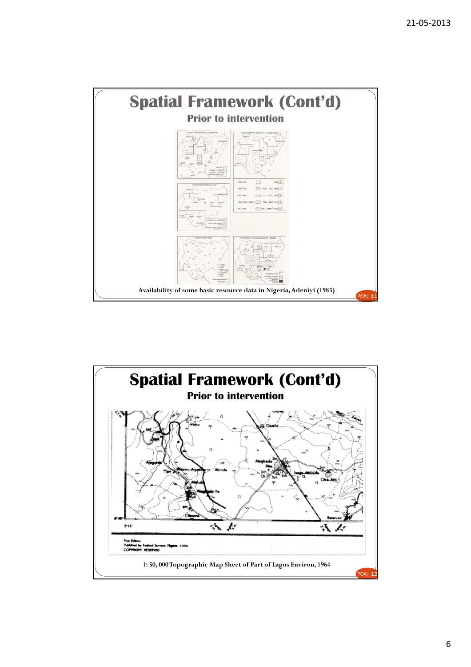

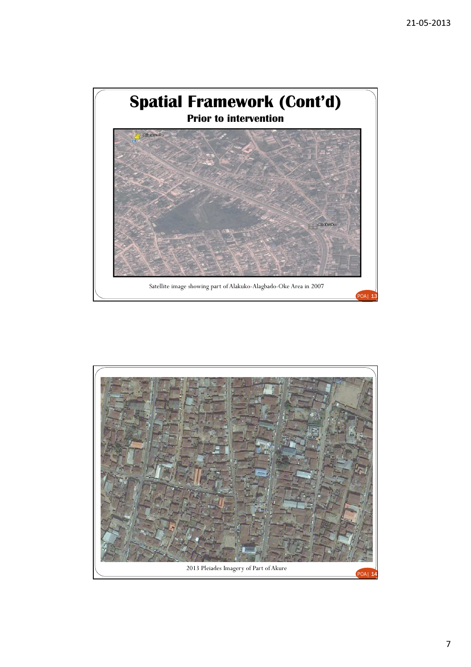

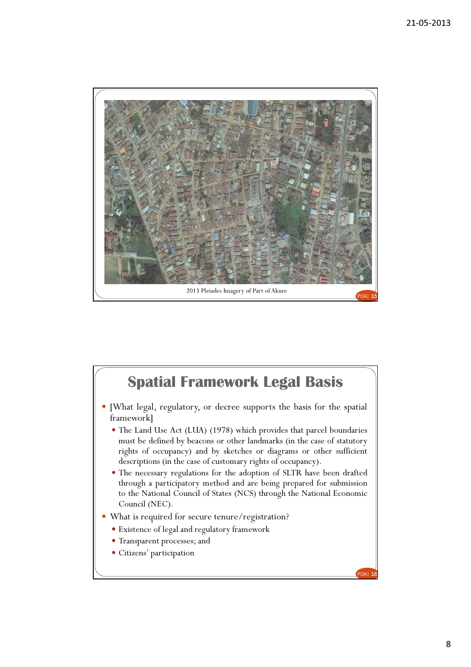

## Spatial Framework Legal Basis

- [What legal, regulatory, or decree supports the basis for the spatial framework]
	- The Land Use Act (LUA) (1978) which provides that parcel boundaries must be defined by beacons or other landmarks (in the case of statutory rights of occupancy) and by sketches or diagrams or other sufficient descriptions (in the case of customary rights of occupancy).
	- The necessary regulations for the adoption of SLTR have been drafted through a participatory method and are being prepared for submission to the National Council of States (NCS) through the National Economic Council (NEC).
- What is required for secure tenure/registration?
	- Existence of legal and regulatory framework
	- Transparent processes; and
	- Citizens' participation

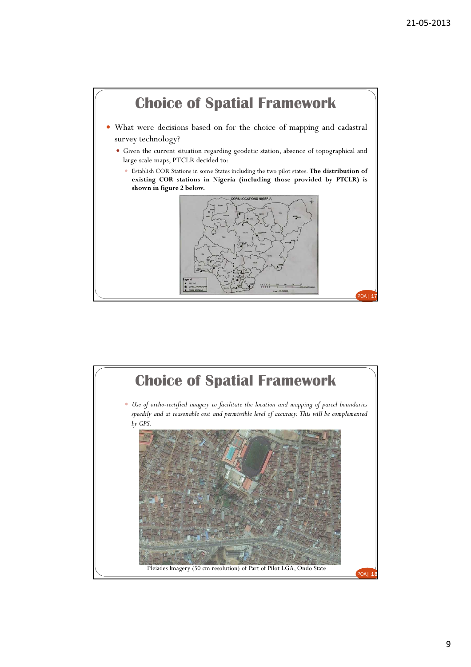



9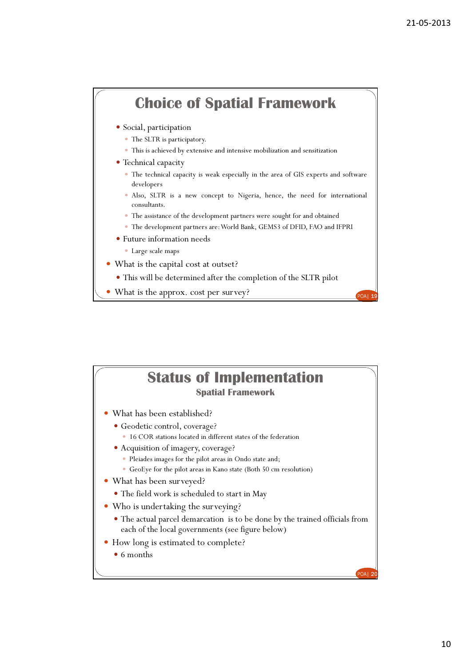



10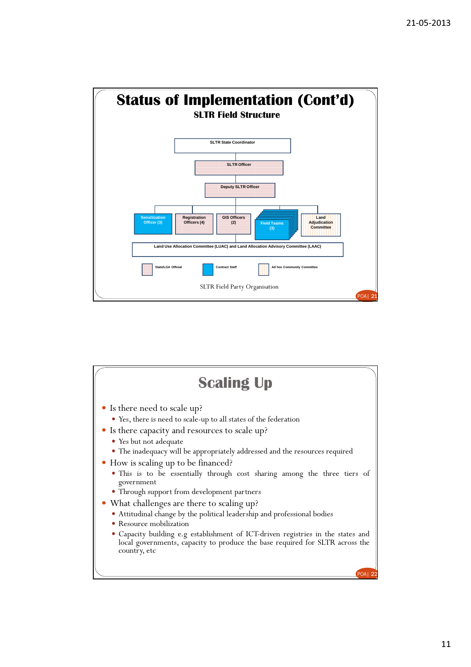